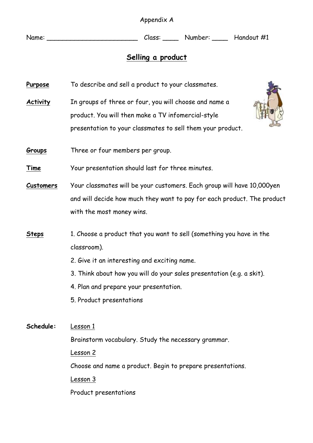Appendix A

Name: Name: Class: Number: Handout #1

## **Selling a product**

- **Purpose** To describe and sell a product to your classmates.
- **Activity** In groups of three or four, you will choose and name a product. You will then make a TV infomercial-style presentation to your classmates to sell them your product.
- **Groups** Three or four members per group.

**Time** Your presentation should last for three minutes.

- **Customers** Your classmates will be your customers. Each group will have 10,000yen and will decide how much they want to pay for each product. The product with the most money wins.
- **Steps** 1. Choose a product that you want to sell (something you have in the classroom).
	- 2. Give it an interesting and exciting name.
	- 3. Think about how you will do your sales presentation (e.g. a skit).
	- 4. Plan and prepare your presentation.
	- 5. Product presentations

**Schedule:** Lesson 1 Brainstorm vocabulary. Study the necessary grammar. Lesson 2 Choose and name a product. Begin to prepare presentations. Lesson 3 Product presentations

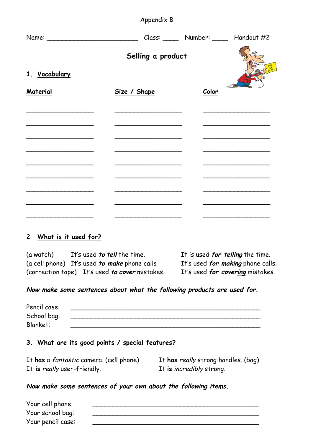|                                                                                                                        | Appendix B                                                                       |       |  |  |
|------------------------------------------------------------------------------------------------------------------------|----------------------------------------------------------------------------------|-------|--|--|
|                                                                                                                        | Name: ________________________________Class: ________ Number: _______ Handout #2 |       |  |  |
|                                                                                                                        | Selling a product                                                                |       |  |  |
| 1. Vocabulary<br>Material                                                                                              | Size / Shape                                                                     | Color |  |  |
|                                                                                                                        |                                                                                  |       |  |  |
|                                                                                                                        |                                                                                  |       |  |  |
| <u> 1989 - Johann John Stein, market fan it ferskearre fan it ferskearre fan it ferskearre fan it ferskearre fan i</u> | the control of the control of the control of the control of the control of       |       |  |  |
|                                                                                                                        |                                                                                  |       |  |  |
|                                                                                                                        |                                                                                  |       |  |  |

#### 2. **What is it used for?**

(a watch) It's used **to tell** the time. It is used **for telling** the time. (a cell phone) It's used *to make* phone calls (correction tape) It's used **to cover** mistakes. It's used **for covering** mistakes.

**Now make some sentences about what the following products are used for.**

| Pencil case: |  |  |
|--------------|--|--|
| School bag:  |  |  |
| Blanket:     |  |  |

### **3. What are its good points / special features?**

It **has** a fantastic camera. (cell phone) It **has** really strong handles. (bag) It **is** really user-friendly. It **is** incredibly strong.

### **Now make some sentences of your own about the following items.**

| Your cell phone:  |  |
|-------------------|--|
| Your school bag:  |  |
| Your pencil case: |  |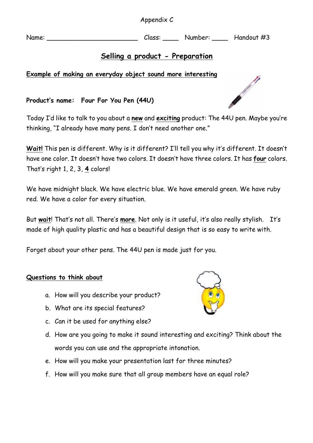Appendix C

Name: Name: Class: Number: Handout #3

# **Selling a product - Preparation**

## **Example of making an everyday object sound more interesting**

## **Product's name: Four For You Pen (44U)**

Today I'd like to talk to you about a **new** and **exciting** product: The 44U pen. Maybe you're thinking, "I already have many pens. I don't need another one."

**Wait!** This pen is different. Why is it different? I'll tell you why it's different. It doesn't have one color. It doesn't have two colors. It doesn't have three colors. It has **four** colors. That's right 1, 2, 3, **4** colors!

We have midnight black. We have electric blue. We have emerald green. We have ruby red. We have a color for every situation.

But **wait**! That's not all. There's **more**. Not only is it useful, it's also really stylish. It's made of high quality plastic and has a beautiful design that is so easy to write with.

Forget about your other pens. The 44U pen is made just for you.

## **Questions to think about**

- a. How will you describe your product?
- b. What are its special features?
- c. Can it be used for anything else?
- d. How are you going to make it sound interesting and exciting? Think about the words you can use and the appropriate intonation.
- e. How will you make your presentation last for three minutes?
- f. How will you make sure that all group members have an equal role?